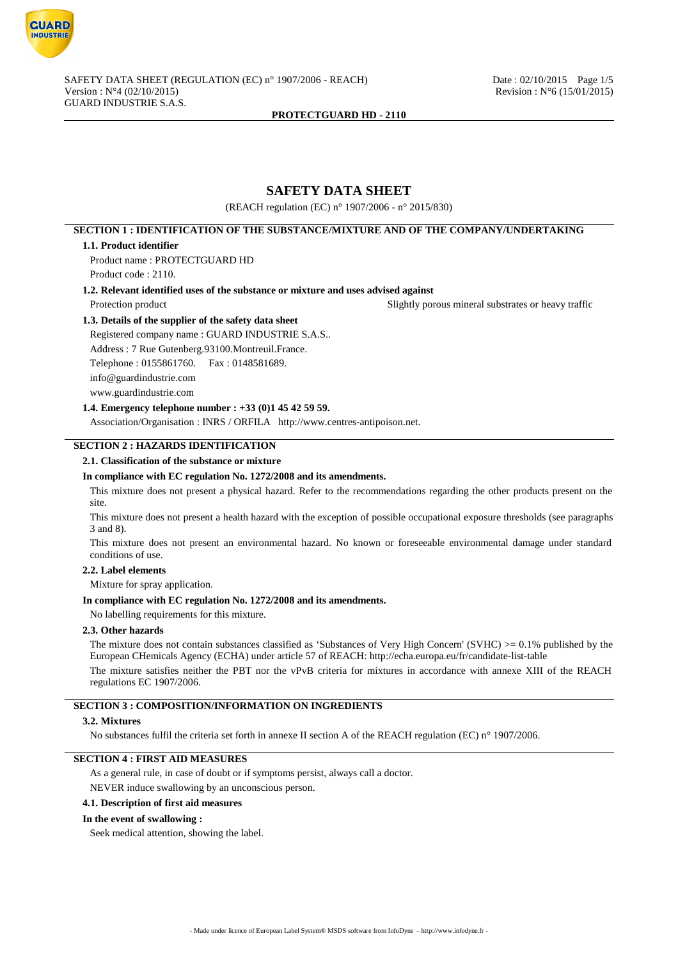

# **SAFETY DATA SHEET**

(REACH regulation (EC) n° 1907/2006 - n° 2015/830)

# **SECTION 1 : IDENTIFICATION OF THE SUBSTANCE/MIXTURE AND OF THE COMPANY/UNDERTAKING**

#### **1.1. Product identifier**

Product name : PROTECTGUARD HD Product code : 2110.

**1.2. Relevant identified uses of the substance or mixture and uses advised against**

Protection product **Slightly porous mineral substrates or heavy traffic** 

### **1.3. Details of the supplier of the safety data sheet**

Registered company name : GUARD INDUSTRIE S.A.S.. Address : 7 Rue Gutenberg.93100.Montreuil.France. Telephone : 0155861760. Fax : 0148581689. info@guardindustrie.com www.guardindustrie.com

# **1.4. Emergency telephone number : +33 (0)1 45 42 59 59.**

Association/Organisation : INRS / ORFILA http://www.centres-antipoison.net.

# **SECTION 2 : HAZARDS IDENTIFICATION**

### **2.1. Classification of the substance or mixture**

### **In compliance with EC regulation No. 1272/2008 and its amendments.**

This mixture does not present a physical hazard. Refer to the recommendations regarding the other products present on the site.

This mixture does not present a health hazard with the exception of possible occupational exposure thresholds (see paragraphs 3 and 8).

This mixture does not present an environmental hazard. No known or foreseeable environmental damage under standard conditions of use.

#### **2.2. Label elements**

Mixture for spray application.

#### **In compliance with EC regulation No. 1272/2008 and its amendments.**

No labelling requirements for this mixture.

## **2.3. Other hazards**

The mixture does not contain substances classified as 'Substances of Very High Concern' (SVHC)  $\geq 0.1\%$  published by the European CHemicals Agency (ECHA) under article 57 of REACH: http://echa.europa.eu/fr/candidate-list-table

The mixture satisfies neither the PBT nor the vPvB criteria for mixtures in accordance with annexe XIII of the REACH regulations EC 1907/2006.

# **SECTION 3 : COMPOSITION/INFORMATION ON INGREDIENTS**

## **3.2. Mixtures**

No substances fulfil the criteria set forth in annexe II section A of the REACH regulation (EC) n° 1907/2006.

## **SECTION 4 : FIRST AID MEASURES**

As a general rule, in case of doubt or if symptoms persist, always call a doctor. NEVER induce swallowing by an unconscious person.

### **4.1. Description of first aid measures**

### **In the event of swallowing :**

Seek medical attention, showing the label.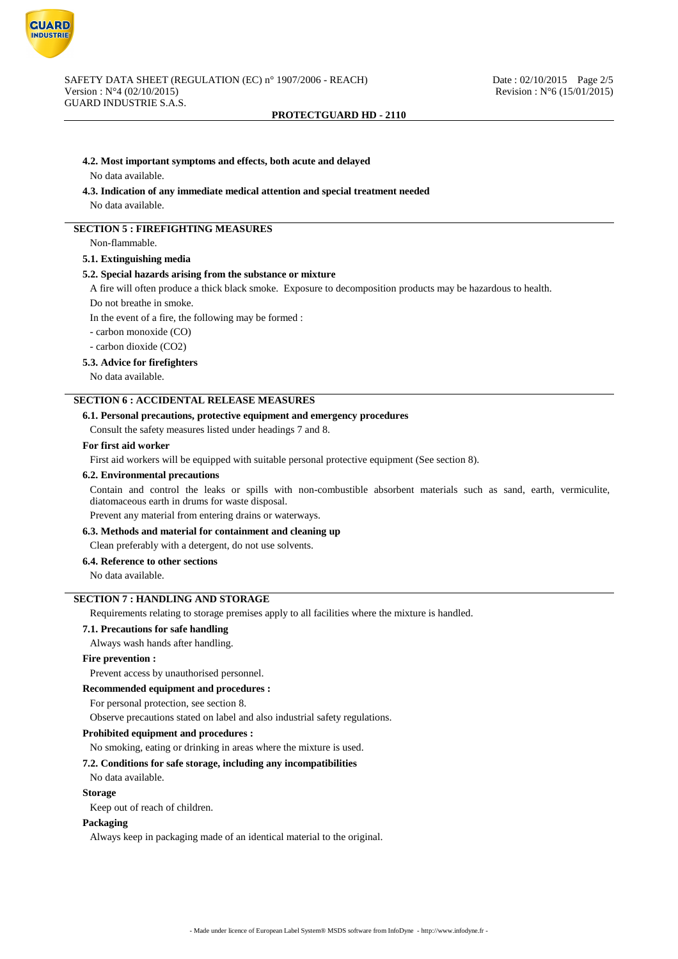

#### **4.2. Most important symptoms and effects, both acute and delayed**

No data available.

#### **4.3. Indication of any immediate medical attention and special treatment needed**

No data available.

# **SECTION 5 : FIREFIGHTING MEASURES**

Non-flammable.

# **5.1. Extinguishing media**

#### **5.2. Special hazards arising from the substance or mixture**

A fire will often produce a thick black smoke. Exposure to decomposition products may be hazardous to health.

Do not breathe in smoke.

In the event of a fire, the following may be formed :

- carbon monoxide (CO)

- carbon dioxide (CO2)

# **5.3. Advice for firefighters**

No data available.

# **SECTION 6 : ACCIDENTAL RELEASE MEASURES**

### **6.1. Personal precautions, protective equipment and emergency procedures**

Consult the safety measures listed under headings 7 and 8.

#### **For first aid worker**

First aid workers will be equipped with suitable personal protective equipment (See section 8).

#### **6.2. Environmental precautions**

Contain and control the leaks or spills with non-combustible absorbent materials such as sand, earth, vermiculite, diatomaceous earth in drums for waste disposal.

Prevent any material from entering drains or waterways.

## **6.3. Methods and material for containment and cleaning up**

Clean preferably with a detergent, do not use solvents.

### **6.4. Reference to other sections**

No data available.

# **SECTION 7 : HANDLING AND STORAGE**

Requirements relating to storage premises apply to all facilities where the mixture is handled.

### **7.1. Precautions for safe handling**

Always wash hands after handling.

### **Fire prevention :**

Prevent access by unauthorised personnel.

#### **Recommended equipment and procedures :**

For personal protection, see section 8.

Observe precautions stated on label and also industrial safety regulations.

#### **Prohibited equipment and procedures :**

No smoking, eating or drinking in areas where the mixture is used.

#### **7.2. Conditions for safe storage, including any incompatibilities**

No data available.

### **Storage**

Keep out of reach of children.

#### **Packaging**

Always keep in packaging made of an identical material to the original.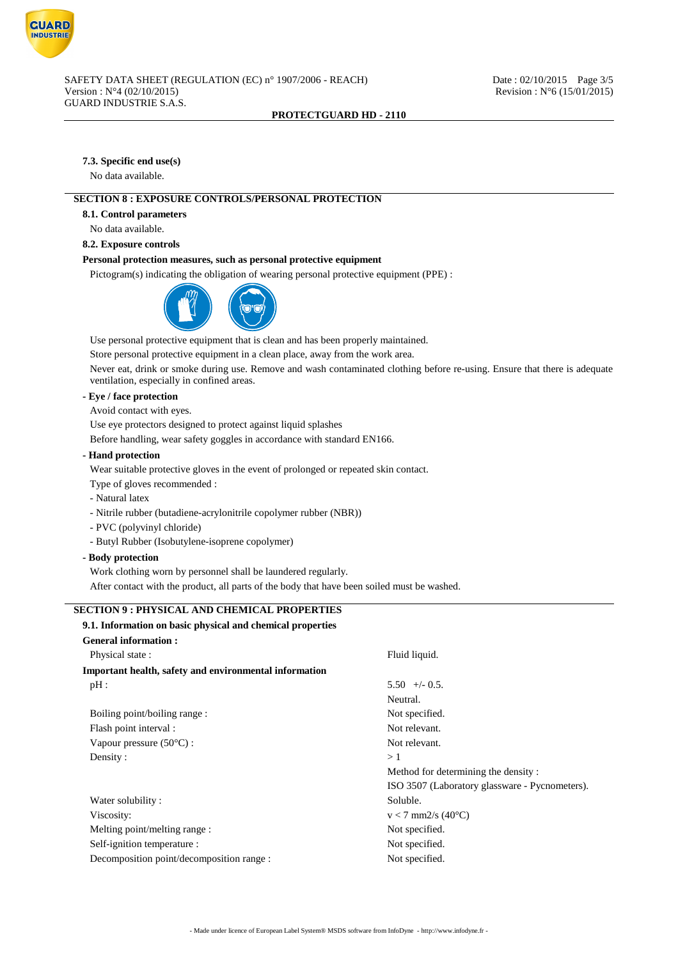

# **7.3. Specific end use(s)**

No data available.

# **SECTION 8 : EXPOSURE CONTROLS/PERSONAL PROTECTION**

### **8.1. Control parameters**

No data available.

# **8.2. Exposure controls**

## **Personal protection measures, such as personal protective equipment**

Pictogram(s) indicating the obligation of wearing personal protective equipment (PPE) :



Use personal protective equipment that is clean and has been properly maintained.

Store personal protective equipment in a clean place, away from the work area.

Never eat, drink or smoke during use. Remove and wash contaminated clothing before re-using. Ensure that there is adequate ventilation, especially in confined areas.

# **- Eye / face protection**

Avoid contact with eyes.

Use eye protectors designed to protect against liquid splashes

Before handling, wear safety goggles in accordance with standard EN166.

# **- Hand protection**

Wear suitable protective gloves in the event of prolonged or repeated skin contact.

Type of gloves recommended :

- Natural latex
- Nitrile rubber (butadiene-acrylonitrile copolymer rubber (NBR))
- PVC (polyvinyl chloride)
- Butyl Rubber (Isobutylene-isoprene copolymer)

### **- Body protection**

Work clothing worn by personnel shall be laundered regularly.

After contact with the product, all parts of the body that have been soiled must be washed.

# **SECTION 9 : PHYSICAL AND CHEMICAL PROPERTIES**

| 9.1. Information on basic physical and chemical properties |                                                |
|------------------------------------------------------------|------------------------------------------------|
| <b>General information:</b>                                |                                                |
| Physical state:                                            | Fluid liquid.                                  |
| Important health, safety and environmental information     |                                                |
| pH:                                                        | $5.50 +/- 0.5$ .                               |
|                                                            | Neutral.                                       |
| Boiling point/boiling range:                               | Not specified.                                 |
| Flash point interval :                                     | Not relevant.                                  |
| Vapour pressure $(50^{\circ}C)$ :                          | Not relevant.                                  |
| Density:                                                   | >1                                             |
|                                                            | Method for determining the density:            |
|                                                            | ISO 3507 (Laboratory glassware - Pycnometers). |
| Water solubility:                                          | Soluble.                                       |
| Viscosity:                                                 | $v < 7$ mm2/s (40°C)                           |
| Melting point/melting range :                              | Not specified.                                 |
| Self-ignition temperature :                                | Not specified.                                 |
| Decomposition point/decomposition range :                  | Not specified.                                 |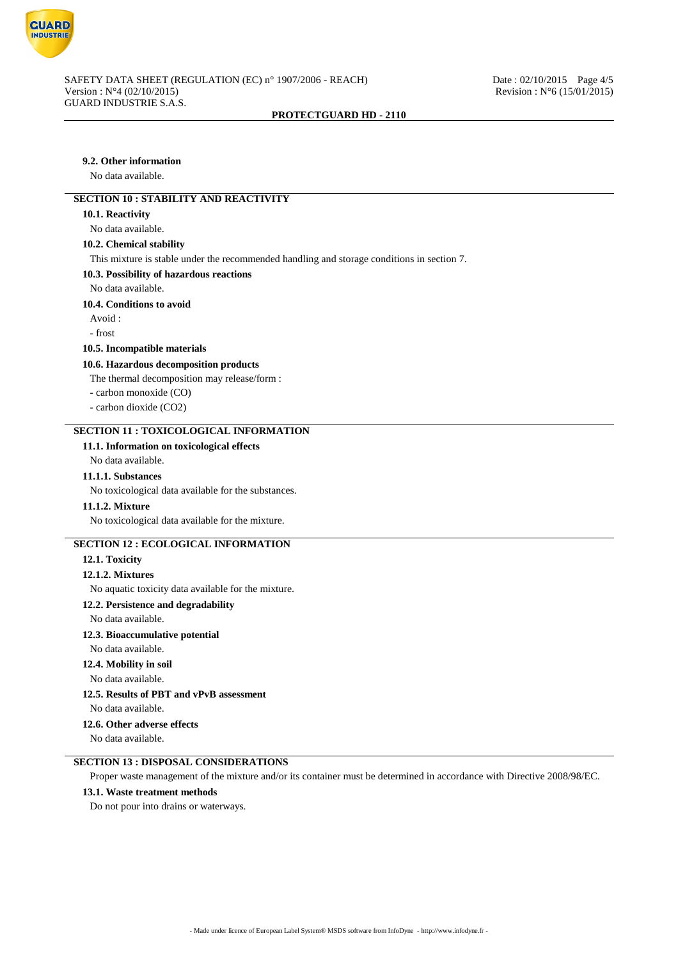

# **9.2. Other information**

No data available.

# **SECTION 10 : STABILITY AND REACTIVITY**

#### **10.1. Reactivity**

No data available.

# **10.2. Chemical stability**

This mixture is stable under the recommended handling and storage conditions in section 7.

#### **10.3. Possibility of hazardous reactions**

No data available.

### **10.4. Conditions to avoid**

Avoid :

- frost

### **10.5. Incompatible materials**

#### **10.6. Hazardous decomposition products**

The thermal decomposition may release/form :

- carbon monoxide (CO)
- carbon dioxide (CO2)

# **SECTION 11 : TOXICOLOGICAL INFORMATION**

# **11.1. Information on toxicological effects**

# No data available.

**11.1.1. Substances**

No toxicological data available for the substances.

### **11.1.2. Mixture**

No toxicological data available for the mixture.

# **SECTION 12 : ECOLOGICAL INFORMATION**

### **12.1. Toxicity**

### **12.1.2. Mixtures**

No aquatic toxicity data available for the mixture.

# **12.2. Persistence and degradability**

No data available.

# **12.3. Bioaccumulative potential**

No data available.

# **12.4. Mobility in soil**

No data available.

# **12.5. Results of PBT and vPvB assessment**

No data available.

### **12.6. Other adverse effects**

No data available.

# **SECTION 13 : DISPOSAL CONSIDERATIONS**

Proper waste management of the mixture and/or its container must be determined in accordance with Directive 2008/98/EC.

# **13.1. Waste treatment methods**

Do not pour into drains or waterways.